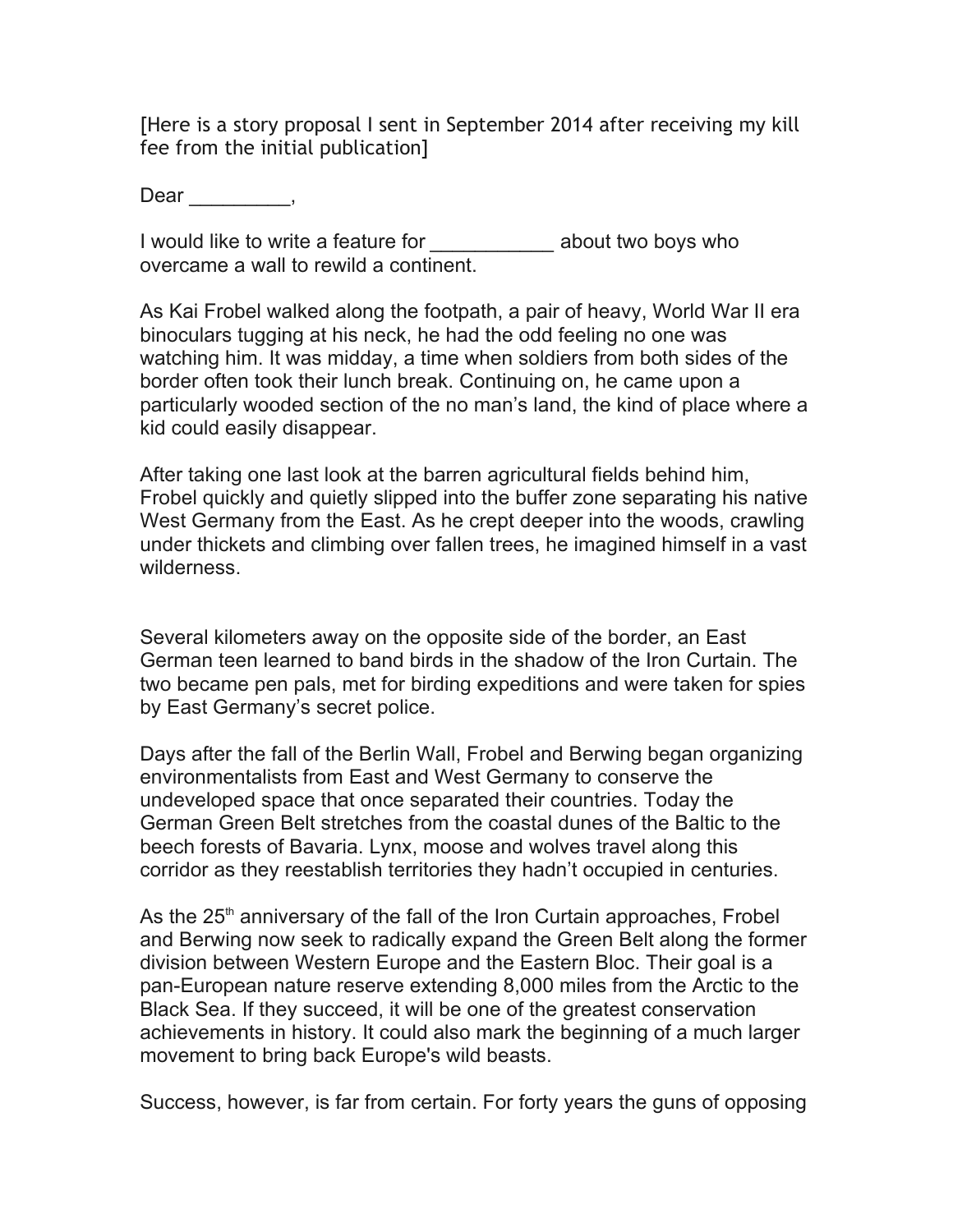[Here is a story proposal I sent in September 2014 after receiving my kill fee from the initial publication]

Dear \_\_\_\_\_\_\_\_\_,

I would like to write a feature for *\_\_\_\_\_\_\_\_\_\_\_* about two boys who overcame a wall to rewild a continent.

As Kai Frobel walked along the footpath, a pair of heavy, World War II era binoculars tugging at his neck, he had the odd feeling no one was watching him. It was midday, a time when soldiers from both sides of the border often took their lunch break. Continuing on, he came upon a particularly wooded section of the no man's land, the kind of place where a kid could easily disappear.

After taking one last look at the barren agricultural fields behind him, Frobel quickly and quietly slipped into the buffer zone separating his native West Germany from the East. As he crept deeper into the woods, crawling under thickets and climbing over fallen trees, he imagined himself in a vast wilderness.

Several kilometers away on the opposite side of the border, an East German teen learned to band birds in the shadow of the Iron Curtain. The two became pen pals, met for birding expeditions and were taken for spies by East Germany's secret police.

Days after the fall of the Berlin Wall, Frobel and Berwing began organizing environmentalists from East and West Germany to conserve the undeveloped space that once separated their countries. Today the German Green Belt stretches from the coastal dunes of the Baltic to the beech forests of Bavaria. Lynx, moose and wolves travel along this corridor as they reestablish territories they hadn't occupied in centuries.

As the  $25<sup>th</sup>$  anniversary of the fall of the Iron Curtain approaches, Frobel and Berwing now seek to radically expand the Green Belt along the former division between Western Europe and the Eastern Bloc. Their goal is a pan-European nature reserve extending 8,000 miles from the Arctic to the Black Sea. If they succeed, it will be one of the greatest conservation achievements in history. It could also mark the beginning of a much larger movement to bring back Europe's wild beasts.

Success, however, is far from certain. For forty years the guns of opposing